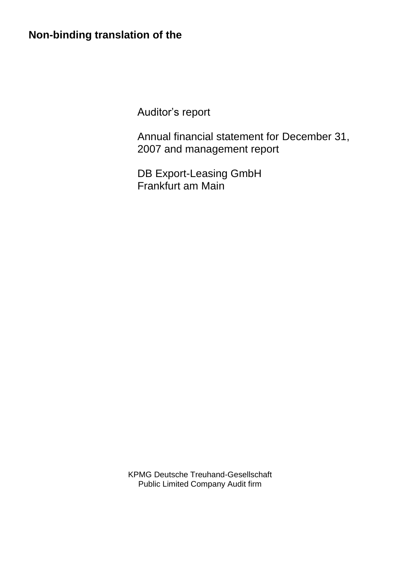# **Non-binding translation of the**

Auditor's report

Annual financial statement for December 31, 2007 and management report

DB Export-Leasing GmbH Frankfurt am Main

KPMG Deutsche Treuhand-Gesellschaft Public Limited Company Audit firm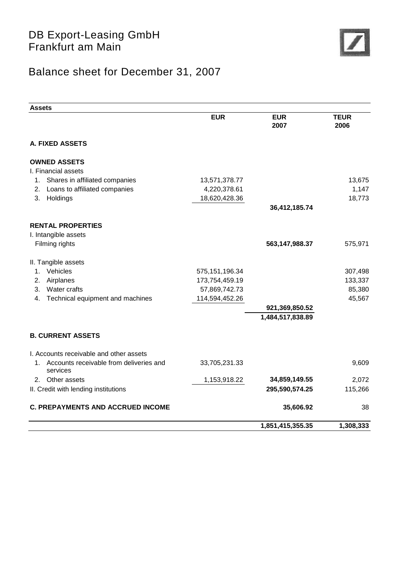

# Balance sheet for December 31, 2007

| <b>Assets</b>                                             |                  |                    |                     |
|-----------------------------------------------------------|------------------|--------------------|---------------------|
|                                                           | <b>EUR</b>       | <b>EUR</b><br>2007 | <b>TEUR</b><br>2006 |
| <b>A. FIXED ASSETS</b>                                    |                  |                    |                     |
| <b>OWNED ASSETS</b>                                       |                  |                    |                     |
| I. Financial assets                                       |                  |                    |                     |
| Shares in affiliated companies<br>1.                      | 13,571,378.77    |                    | 13,675              |
| Loans to affiliated companies<br>2.                       | 4,220,378.61     |                    | 1,147               |
| 3.<br>Holdings                                            | 18,620,428.36    |                    | 18,773              |
|                                                           |                  | 36,412,185.74      |                     |
| <b>RENTAL PROPERTIES</b>                                  |                  |                    |                     |
| I. Intangible assets                                      |                  |                    |                     |
| Filming rights                                            |                  | 563, 147, 988. 37  | 575,971             |
|                                                           |                  |                    |                     |
| II. Tangible assets                                       |                  |                    |                     |
| Vehicles<br>1.                                            | 575, 151, 196.34 |                    | 307,498             |
| Airplanes<br>2.                                           | 173,754,459.19   |                    | 133,337             |
| Water crafts<br>3.                                        | 57,869,742.73    |                    | 85,380              |
| Technical equipment and machines<br>4.                    | 114,594,452.26   |                    | 45,567              |
|                                                           |                  | 921,369,850.52     |                     |
|                                                           |                  | 1,484,517,838.89   |                     |
| <b>B. CURRENT ASSETS</b>                                  |                  |                    |                     |
| I. Accounts receivable and other assets                   |                  |                    |                     |
| Accounts receivable from deliveries and<br>1.<br>services | 33,705,231.33    |                    | 9,609               |
| Other assets<br>2.                                        | 1,153,918.22     | 34,859,149.55      | 2,072               |
| II. Credit with lending institutions                      |                  | 295,590,574.25     | 115,266             |
| <b>C. PREPAYMENTS AND ACCRUED INCOME</b>                  |                  | 35,606.92          | 38                  |
|                                                           |                  | 1,851,415,355.35   | 1,308,333           |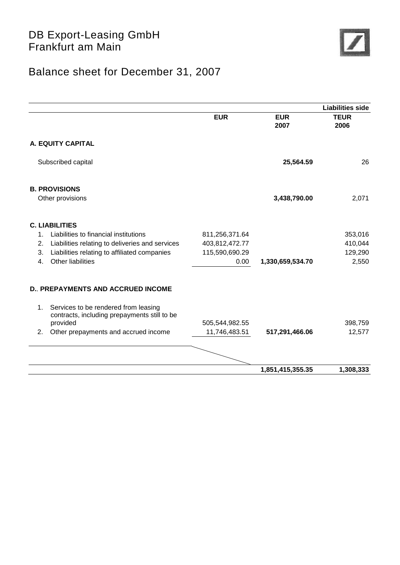

# Balance sheet for December 31, 2007

| <b>EUR</b><br><b>EUR</b><br>2007<br>A. EQUITY CAPITAL                         | <b>TEUR</b><br>2006 |
|-------------------------------------------------------------------------------|---------------------|
|                                                                               |                     |
|                                                                               |                     |
| Subscribed capital<br>25,564.59                                               | 26                  |
| <b>B. PROVISIONS</b>                                                          |                     |
| 3,438,790.00<br>Other provisions                                              | 2,071               |
| <b>C. LIABILITIES</b>                                                         |                     |
| Liabilities to financial institutions<br>$\mathbf{1}$ .<br>811,256,371.64     | 353,016             |
| Liabilities relating to deliveries and services<br>403,812,472.77<br>2.       | 410,044             |
| Liabilities relating to affiliated companies<br>115,590,690.29<br>3.          | 129,290             |
| Other liabilities<br>4.<br>0.00<br>1,330,659,534.70                           | 2,550               |
| <b>D. PREPAYMENTS AND ACCRUED INCOME</b>                                      |                     |
| Services to be rendered from leasing<br>1.                                    |                     |
| contracts, including prepayments still to be                                  |                     |
| provided<br>505,544,982.55                                                    | 398,759             |
| 517,291,466.06<br>2.<br>Other prepayments and accrued income<br>11,746,483.51 | 12,577              |
|                                                                               |                     |
| 1,851,415,355.35                                                              | 1,308,333           |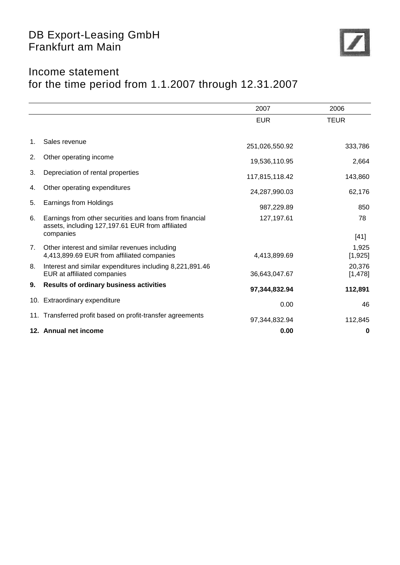

# Income statement for the time period from 1.1.2007 through 12.31.2007

|    |                                                                                                             | 2007           | 2006               |
|----|-------------------------------------------------------------------------------------------------------------|----------------|--------------------|
|    |                                                                                                             | <b>EUR</b>     | <b>TEUR</b>        |
|    |                                                                                                             |                |                    |
| 1. | Sales revenue                                                                                               | 251,026,550.92 | 333,786            |
| 2. | Other operating income                                                                                      | 19,536,110.95  | 2,664              |
| 3. | Depreciation of rental properties                                                                           | 117,815,118.42 | 143,860            |
| 4. | Other operating expenditures                                                                                | 24,287,990.03  | 62,176             |
| 5. | Earnings from Holdings                                                                                      | 987,229.89     | 850                |
| 6. | Earnings from other securities and loans from financial<br>assets, including 127,197.61 EUR from affiliated | 127,197.61     | 78                 |
|    | companies                                                                                                   |                | $[41]$             |
| 7. | Other interest and similar revenues including<br>4,413,899.69 EUR from affiliated companies                 | 4,413,899.69   | 1,925<br>[1,925]   |
| 8. | Interest and similar expenditures including 8,221,891.46<br>EUR at affiliated companies                     | 36,643,047.67  | 20,376<br>[1, 478] |
| 9. | <b>Results of ordinary business activities</b>                                                              | 97,344,832.94  | 112,891            |
|    | 10. Extraordinary expenditure                                                                               | 0.00           | 46                 |
|    | 11. Transferred profit based on profit-transfer agreements                                                  | 97,344,832.94  | 112,845            |
|    | 12. Annual net income                                                                                       | 0.00           | 0                  |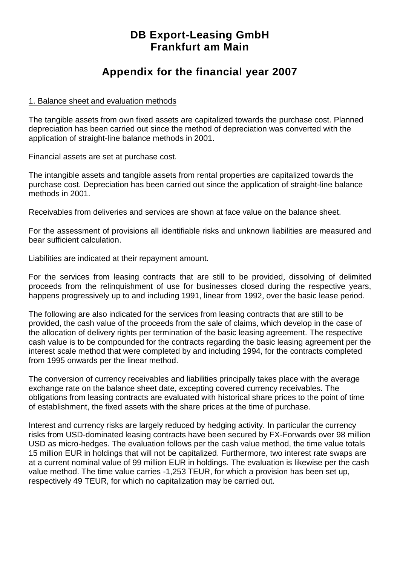## **DB Export-Leasing GmbH Frankfurt am Main**

## **Appendix for the financial year 2007**

#### 1. Balance sheet and evaluation methods

The tangible assets from own fixed assets are capitalized towards the purchase cost. Planned depreciation has been carried out since the method of depreciation was converted with the application of straight-line balance methods in 2001.

Financial assets are set at purchase cost.

The intangible assets and tangible assets from rental properties are capitalized towards the purchase cost. Depreciation has been carried out since the application of straight-line balance methods in 2001.

Receivables from deliveries and services are shown at face value on the balance sheet.

For the assessment of provisions all identifiable risks and unknown liabilities are measured and bear sufficient calculation.

Liabilities are indicated at their repayment amount.

For the services from leasing contracts that are still to be provided, dissolving of delimited proceeds from the relinquishment of use for businesses closed during the respective years, happens progressively up to and including 1991, linear from 1992, over the basic lease period.

The following are also indicated for the services from leasing contracts that are still to be provided, the cash value of the proceeds from the sale of claims, which develop in the case of the allocation of delivery rights per termination of the basic leasing agreement. The respective cash value is to be compounded for the contracts regarding the basic leasing agreement per the interest scale method that were completed by and including 1994, for the contracts completed from 1995 onwards per the linear method.

The conversion of currency receivables and liabilities principally takes place with the average exchange rate on the balance sheet date, excepting covered currency receivables. The obligations from leasing contracts are evaluated with historical share prices to the point of time of establishment, the fixed assets with the share prices at the time of purchase.

Interest and currency risks are largely reduced by hedging activity. In particular the currency risks from USD-dominated leasing contracts have been secured by FX-Forwards over 98 million USD as micro-hedges. The evaluation follows per the cash value method, the time value totals 15 million EUR in holdings that will not be capitalized. Furthermore, two interest rate swaps are at a current nominal value of 99 million EUR in holdings. The evaluation is likewise per the cash value method. The time value carries -1,253 TEUR, for which a provision has been set up, respectively 49 TEUR, for which no capitalization may be carried out.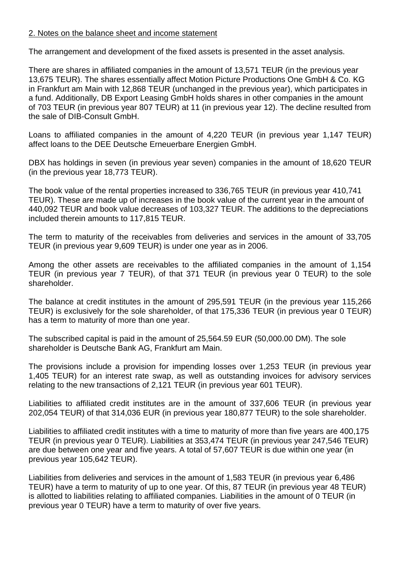#### 2. Notes on the balance sheet and income statement

The arrangement and development of the fixed assets is presented in the asset analysis.

There are shares in affiliated companies in the amount of 13,571 TEUR (in the previous year 13,675 TEUR). The shares essentially affect Motion Picture Productions One GmbH & Co. KG in Frankfurt am Main with 12,868 TEUR (unchanged in the previous year), which participates in a fund. Additionally, DB Export Leasing GmbH holds shares in other companies in the amount of 703 TEUR (in previous year 807 TEUR) at 11 (in previous year 12). The decline resulted from the sale of DIB-Consult GmbH.

Loans to affiliated companies in the amount of 4,220 TEUR (in previous year 1,147 TEUR) affect loans to the DEE Deutsche Erneuerbare Energien GmbH.

DBX has holdings in seven (in previous year seven) companies in the amount of 18,620 TEUR (in the previous year 18,773 TEUR).

The book value of the rental properties increased to 336,765 TEUR (in previous year 410,741 TEUR). These are made up of increases in the book value of the current year in the amount of 440,092 TEUR and book value decreases of 103,327 TEUR. The additions to the depreciations included therein amounts to 117,815 TEUR.

The term to maturity of the receivables from deliveries and services in the amount of 33,705 TEUR (in previous year 9,609 TEUR) is under one year as in 2006.

Among the other assets are receivables to the affiliated companies in the amount of 1,154 TEUR (in previous year 7 TEUR), of that 371 TEUR (in previous year 0 TEUR) to the sole shareholder.

The balance at credit institutes in the amount of 295,591 TEUR (in the previous year 115,266 TEUR) is exclusively for the sole shareholder, of that 175,336 TEUR (in previous year 0 TEUR) has a term to maturity of more than one year.

The subscribed capital is paid in the amount of 25,564.59 EUR (50,000.00 DM). The sole shareholder is Deutsche Bank AG, Frankfurt am Main.

The provisions include a provision for impending losses over 1,253 TEUR (in previous year 1,405 TEUR) for an interest rate swap, as well as outstanding invoices for advisory services relating to the new transactions of 2,121 TEUR (in previous year 601 TEUR).

Liabilities to affiliated credit institutes are in the amount of 337,606 TEUR (in previous year 202,054 TEUR) of that 314,036 EUR (in previous year 180,877 TEUR) to the sole shareholder.

Liabilities to affiliated credit institutes with a time to maturity of more than five years are 400,175 TEUR (in previous year 0 TEUR). Liabilities at 353,474 TEUR (in previous year 247,546 TEUR) are due between one year and five years. A total of 57,607 TEUR is due within one year (in previous year 105,642 TEUR).

Liabilities from deliveries and services in the amount of 1,583 TEUR (in previous year 6,486 TEUR) have a term to maturity of up to one year. Of this, 87 TEUR (in previous year 48 TEUR) is allotted to liabilities relating to affiliated companies. Liabilities in the amount of 0 TEUR (in previous year 0 TEUR) have a term to maturity of over five years.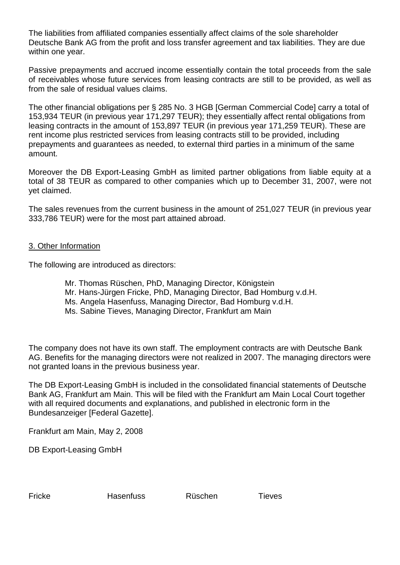The liabilities from affiliated companies essentially affect claims of the sole shareholder Deutsche Bank AG from the profit and loss transfer agreement and tax liabilities. They are due within one year.

Passive prepayments and accrued income essentially contain the total proceeds from the sale of receivables whose future services from leasing contracts are still to be provided, as well as from the sale of residual values claims.

The other financial obligations per § 285 No. 3 HGB [German Commercial Code] carry a total of 153,934 TEUR (in previous year 171,297 TEUR); they essentially affect rental obligations from leasing contracts in the amount of 153,897 TEUR (in previous year 171,259 TEUR). These are rent income plus restricted services from leasing contracts still to be provided, including prepayments and guarantees as needed, to external third parties in a minimum of the same amount.

Moreover the DB Export-Leasing GmbH as limited partner obligations from liable equity at a total of 38 TEUR as compared to other companies which up to December 31, 2007, were not yet claimed.

The sales revenues from the current business in the amount of 251,027 TEUR (in previous year 333,786 TEUR) were for the most part attained abroad.

#### 3. Other Information

The following are introduced as directors:

- Mr. Thomas Rüschen, PhD, Managing Director, Königstein
- Mr. Hans-Jürgen Fricke, PhD, Managing Director, Bad Homburg v.d.H.
- Ms. Angela Hasenfuss, Managing Director, Bad Homburg v.d.H.
- Ms. Sabine Tieves, Managing Director, Frankfurt am Main

The company does not have its own staff. The employment contracts are with Deutsche Bank AG. Benefits for the managing directors were not realized in 2007. The managing directors were not granted loans in the previous business year.

The DB Export-Leasing GmbH is included in the consolidated financial statements of Deutsche Bank AG, Frankfurt am Main. This will be filed with the Frankfurt am Main Local Court together with all required documents and explanations, and published in electronic form in the Bundesanzeiger [Federal Gazette].

Frankfurt am Main, May 2, 2008

DB Export-Leasing GmbH

Fricke Hasenfuss Rüschen Tieves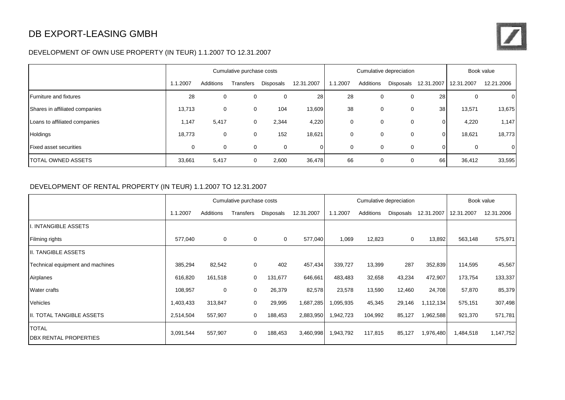### DB EXPORT-LEASING GMBH

#### DEVELOPMENT OF OWN USE PROPERTY (IN TEUR) 1.1.2007 TO 12.31.2007

|                                | Cumulative purchase costs |           |           |                  | Cumulative depreciation |          |           |           | Book value |             |                |
|--------------------------------|---------------------------|-----------|-----------|------------------|-------------------------|----------|-----------|-----------|------------|-------------|----------------|
|                                | 1.1.2007                  | Additions | Transfers | <b>Disposals</b> | 12.31.2007              | 1.1.2007 | Additions | Disposals | 12.31.2007 | 12.31.2007  | 12.21.2006     |
| <b>Furniture and fixtures</b>  | 28                        | 0         | 0         | $\Omega$         | 28                      | 28       | 0         | $\Omega$  | 28         | 0           | $\overline{0}$ |
| Shares in affiliated companies | 13,713                    | 0         | 0         | 104              | 13,609                  | 38       | 0         |           | 38         | 13,571      | 13,675         |
| Loans to affiliated companies  | 1,147                     | 5,417     | 0         | 2,344            | 4,220                   | 0        | 0         | 0         | 0          | 4,220       | 1,147          |
| Holdings                       | 18,773                    | 0         | $\Omega$  | 152              | 18,621                  | 0        | 0         |           |            | 18,621      | 18,773         |
| <b>Fixed asset securities</b>  | 0                         | 0         | 0         | $\mathbf 0$      |                         | 0        | 0         | 0         | 0          | $\mathbf 0$ | 0              |
| <b>ITOTAL OWNED ASSETS</b>     | 33,661                    | 5,417     | 0         | 2,600            | 36,478                  | 66       | 0         |           | 66         | 36,412      | 33,595         |

#### DEVELOPMENT OF RENTAL PROPERTY (IN TEUR) 1.1.2007 TO 12.31.2007

|                                              |           |             | Cumulative purchase costs |           |            |           |           | Cumulative depreciation |            |            | Book value |
|----------------------------------------------|-----------|-------------|---------------------------|-----------|------------|-----------|-----------|-------------------------|------------|------------|------------|
|                                              | 1.1.2007  | Additions   | Transfers                 | Disposals | 12.31.2007 | 1.1.2007  | Additions | Disposals               | 12.31.2007 | 12.31.2007 | 12.31.2006 |
| I. INTANGIBLE ASSETS                         |           |             |                           |           |            |           |           |                         |            |            |            |
| Filming rights                               | 577,040   | $\mathbf 0$ | 0                         | 0         | 577,040    | 1,069     | 12,823    | 0                       | 13,892     | 563,148    | 575,971    |
| II. TANGIBLE ASSETS                          |           |             |                           |           |            |           |           |                         |            |            |            |
| Technical equipment and machines             | 385,294   | 82,542      | $\mathbf 0$               | 402       | 457,434    | 339,727   | 13,399    | 287                     | 352,839    | 114,595    | 45,567     |
| Airplanes                                    | 616,820   | 161,518     | $\mathbf{0}$              | 131,677   | 646,661    | 483,483   | 32,658    | 43,234                  | 472,907    | 173,754    | 133,337    |
| Water crafts                                 | 108,957   | 0           | 0                         | 26,379    | 82,578     | 23,578    | 13,590    | 12,460                  | 24,708     | 57,870     | 85,379     |
| Vehicles                                     | 1,403,433 | 313,847     | 0                         | 29,995    | 1,687,285  | 1,095,935 | 45,345    | 29,146                  | 1,112,134  | 575,151    | 307,498    |
| <b>II. TOTAL TANGIBLE ASSETS</b>             | 2,514,504 | 557,907     | $\mathbf 0$               | 188,453   | 2,883,950  | 1,942,723 | 104,992   | 85,127                  | 1,962,588  | 921,370    | 571,781    |
| <b>TOTAL</b><br><b>DBX RENTAL PROPERTIES</b> | 3,091,544 | 557,907     | 0                         | 188,453   | 3,460,998  | 1,943,792 | 117,815   | 85,127                  | 1,976,480  | 1,484,518  | 1,147,752  |

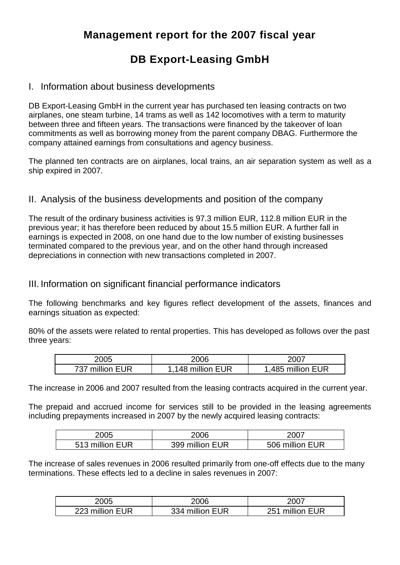## **Management report for the 2007 fiscal year**

# **DB Export-Leasing GmbH**

### I. Information about business developments

DB Export-Leasing GmbH in the current year has purchased ten leasing contracts on two airplanes, one steam turbine, 14 trams as well as 142 locomotives with a term to maturity between three and fifteen years. The transactions were financed by the takeover of loan commitments as well as borrowing money from the parent company DBAG. Furthermore the company attained earnings from consultations and agency business.

The planned ten contracts are on airplanes, local trains, an air separation system as well as a ship expired in 2007.

### II. Analysis of the business developments and position of the company

The result of the ordinary business activities is 97.3 million EUR, 112.8 million EUR in the previous year; it has therefore been reduced by about 15.5 million EUR. A further fall in earnings is expected in 2008, on one hand due to the low number of existing businesses terminated compared to the previous year, and on the other hand through increased depreciations in connection with new transactions completed in 2007.

#### III. Information on significant financial performance indicators

The following benchmarks and key figures reflect development of the assets, finances and earnings situation as expected:

80% of the assets were related to rental properties. This has developed as follows over the past three years:

| 2005            | 2006             | 2007             |
|-----------------|------------------|------------------|
| 737 million EUR | .148 million EUR | ,485 million EUR |

The increase in 2006 and 2007 resulted from the leasing contracts acquired in the current year.

The prepaid and accrued income for services still to be provided in the leasing agreements including prepayments increased in 2007 by the newly acquired leasing contracts:

| 2005            | 2006            | 2007            |
|-----------------|-----------------|-----------------|
| 513 million EUR | 399 million EUR | 506 million EUR |

The increase of sales revenues in 2006 resulted primarily from one-off effects due to the many terminations. These effects led to a decline in sales revenues in 2007:

| 2005            | 2006            | 2007               |
|-----------------|-----------------|--------------------|
| 223 million EUR | 334 million EUR | million EUR<br>つら1 |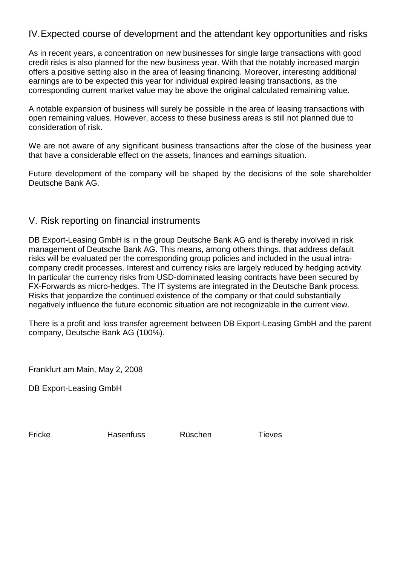### IV.Expected course of development and the attendant key opportunities and risks

As in recent years, a concentration on new businesses for single large transactions with good credit risks is also planned for the new business year. With that the notably increased margin offers a positive setting also in the area of leasing financing. Moreover, interesting additional earnings are to be expected this year for individual expired leasing transactions, as the corresponding current market value may be above the original calculated remaining value.

A notable expansion of business will surely be possible in the area of leasing transactions with open remaining values. However, access to these business areas is still not planned due to consideration of risk.

We are not aware of any significant business transactions after the close of the business year that have a considerable effect on the assets, finances and earnings situation.

Future development of the company will be shaped by the decisions of the sole shareholder Deutsche Bank AG.

#### V. Risk reporting on financial instruments

DB Export-Leasing GmbH is in the group Deutsche Bank AG and is thereby involved in risk management of Deutsche Bank AG. This means, among others things, that address default risks will be evaluated per the corresponding group policies and included in the usual intracompany credit processes. Interest and currency risks are largely reduced by hedging activity. In particular the currency risks from USD-dominated leasing contracts have been secured by FX-Forwards as micro-hedges. The IT systems are integrated in the Deutsche Bank process. Risks that jeopardize the continued existence of the company or that could substantially negatively influence the future economic situation are not recognizable in the current view.

There is a profit and loss transfer agreement between DB Export-Leasing GmbH and the parent company, Deutsche Bank AG (100%).

Frankfurt am Main, May 2, 2008

DB Export-Leasing GmbH

Fricke Hasenfuss Rüschen Tieves